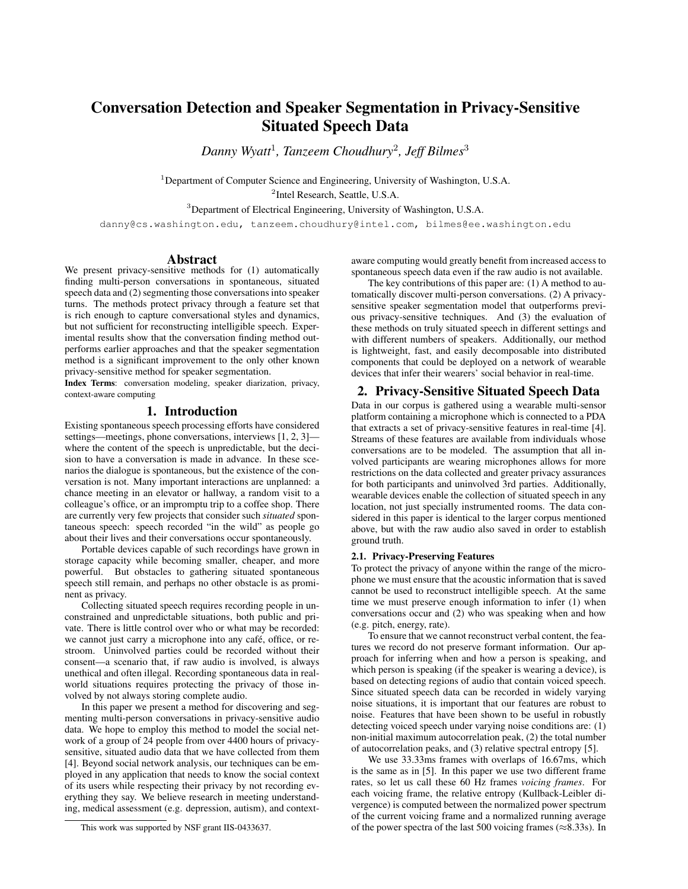# Conversation Detection and Speaker Segmentation in Privacy-Sensitive Situated Speech Data

*Danny Wyatt*<sup>1</sup> *, Tanzeem Choudhury*<sup>2</sup> *, Jeff Bilmes*<sup>3</sup>

<sup>1</sup>Department of Computer Science and Engineering, University of Washington, U.S.A.

2 Intel Research, Seattle, U.S.A.

<sup>3</sup>Department of Electrical Engineering, University of Washington, U.S.A.

danny@cs.washington.edu, tanzeem.choudhury@intel.com, bilmes@ee.washington.edu

# Abstract

We present privacy-sensitive methods for (1) automatically finding multi-person conversations in spontaneous, situated speech data and (2) segmenting those conversations into speaker turns. The methods protect privacy through a feature set that is rich enough to capture conversational styles and dynamics, but not sufficient for reconstructing intelligible speech. Experimental results show that the conversation finding method outperforms earlier approaches and that the speaker segmentation method is a significant improvement to the only other known privacy-sensitive method for speaker segmentation.

Index Terms: conversation modeling, speaker diarization, privacy, context-aware computing

# 1. Introduction

Existing spontaneous speech processing efforts have considered settings—meetings, phone conversations, interviews [1, 2, 3] where the content of the speech is unpredictable, but the decision to have a conversation is made in advance. In these scenarios the dialogue is spontaneous, but the existence of the conversation is not. Many important interactions are unplanned: a chance meeting in an elevator or hallway, a random visit to a colleague's office, or an impromptu trip to a coffee shop. There are currently very few projects that consider such *situated* spontaneous speech: speech recorded "in the wild" as people go about their lives and their conversations occur spontaneously.

Portable devices capable of such recordings have grown in storage capacity while becoming smaller, cheaper, and more powerful. But obstacles to gathering situated spontaneous speech still remain, and perhaps no other obstacle is as prominent as privacy.

Collecting situated speech requires recording people in unconstrained and unpredictable situations, both public and private. There is little control over who or what may be recorded: we cannot just carry a microphone into any café, office, or restroom. Uninvolved parties could be recorded without their consent—a scenario that, if raw audio is involved, is always unethical and often illegal. Recording spontaneous data in realworld situations requires protecting the privacy of those involved by not always storing complete audio.

In this paper we present a method for discovering and segmenting multi-person conversations in privacy-sensitive audio data. We hope to employ this method to model the social network of a group of 24 people from over 4400 hours of privacysensitive, situated audio data that we have collected from them [4]. Beyond social network analysis, our techniques can be employed in any application that needs to know the social context of its users while respecting their privacy by not recording everything they say. We believe research in meeting understanding, medical assessment (e.g. depression, autism), and contextaware computing would greatly benefit from increased access to spontaneous speech data even if the raw audio is not available.

The key contributions of this paper are: (1) A method to automatically discover multi-person conversations. (2) A privacysensitive speaker segmentation model that outperforms previous privacy-sensitive techniques. And (3) the evaluation of these methods on truly situated speech in different settings and with different numbers of speakers. Additionally, our method is lightweight, fast, and easily decomposable into distributed components that could be deployed on a network of wearable devices that infer their wearers' social behavior in real-time.

# 2. Privacy-Sensitive Situated Speech Data

Data in our corpus is gathered using a wearable multi-sensor platform containing a microphone which is connected to a PDA that extracts a set of privacy-sensitive features in real-time [4]. Streams of these features are available from individuals whose conversations are to be modeled. The assumption that all involved participants are wearing microphones allows for more restrictions on the data collected and greater privacy assurances for both participants and uninvolved 3rd parties. Additionally, wearable devices enable the collection of situated speech in any location, not just specially instrumented rooms. The data considered in this paper is identical to the larger corpus mentioned above, but with the raw audio also saved in order to establish ground truth.

# 2.1. Privacy-Preserving Features

To protect the privacy of anyone within the range of the microphone we must ensure that the acoustic information that is saved cannot be used to reconstruct intelligible speech. At the same time we must preserve enough information to infer (1) when conversations occur and (2) who was speaking when and how (e.g. pitch, energy, rate).

To ensure that we cannot reconstruct verbal content, the features we record do not preserve formant information. Our approach for inferring when and how a person is speaking, and which person is speaking (if the speaker is wearing a device), is based on detecting regions of audio that contain voiced speech. Since situated speech data can be recorded in widely varying noise situations, it is important that our features are robust to noise. Features that have been shown to be useful in robustly detecting voiced speech under varying noise conditions are: (1) non-initial maximum autocorrelation peak, (2) the total number of autocorrelation peaks, and (3) relative spectral entropy [5].

We use 33.33ms frames with overlaps of 16.67ms, which is the same as in [5]. In this paper we use two different frame rates, so let us call these 60 Hz frames *voicing frames*. For each voicing frame, the relative entropy (Kullback-Leibler divergence) is computed between the normalized power spectrum of the current voicing frame and a normalized running average of the power spectra of the last 500 voicing frames ( $\approx$ 8.33s). In

This work was supported by NSF grant IIS-0433637.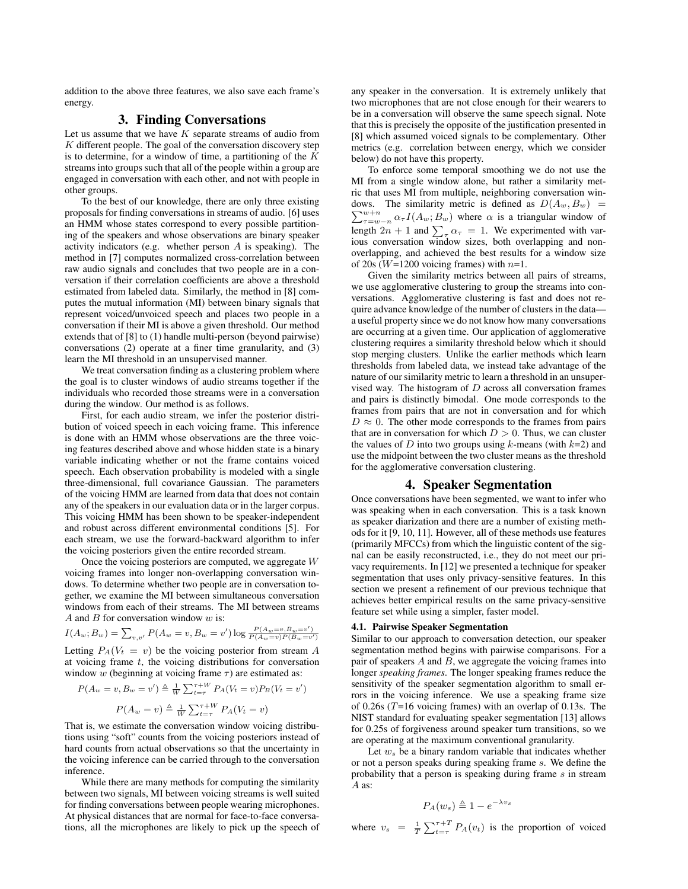addition to the above three features, we also save each frame's energy.

# 3. Finding Conversations

Let us assume that we have  $K$  separate streams of audio from  $K$  different people. The goal of the conversation discovery step is to determine, for a window of time, a partitioning of the  $K$ streams into groups such that all of the people within a group are engaged in conversation with each other, and not with people in other groups.

To the best of our knowledge, there are only three existing proposals for finding conversations in streams of audio. [6] uses an HMM whose states correspond to every possible partitioning of the speakers and whose observations are binary speaker activity indicators (e.g. whether person  $A$  is speaking). The method in [7] computes normalized cross-correlation between raw audio signals and concludes that two people are in a conversation if their correlation coefficients are above a threshold estimated from labeled data. Similarly, the method in [8] computes the mutual information (MI) between binary signals that represent voiced/unvoiced speech and places two people in a conversation if their MI is above a given threshold. Our method extends that of [8] to (1) handle multi-person (beyond pairwise) conversations (2) operate at a finer time granularity, and (3) learn the MI threshold in an unsupervised manner.

We treat conversation finding as a clustering problem where the goal is to cluster windows of audio streams together if the individuals who recorded those streams were in a conversation during the window. Our method is as follows.

First, for each audio stream, we infer the posterior distribution of voiced speech in each voicing frame. This inference is done with an HMM whose observations are the three voicing features described above and whose hidden state is a binary variable indicating whether or not the frame contains voiced speech. Each observation probability is modeled with a single three-dimensional, full covariance Gaussian. The parameters of the voicing HMM are learned from data that does not contain any of the speakers in our evaluation data or in the larger corpus. This voicing HMM has been shown to be speaker-independent and robust across different environmental conditions [5]. For each stream, we use the forward-backward algorithm to infer the voicing posteriors given the entire recorded stream.

Once the voicing posteriors are computed, we aggregate W voicing frames into longer non-overlapping conversation windows. To determine whether two people are in conversation together, we examine the MI between simultaneous conversation windows from each of their streams. The MI between streams A and B for conversation window  $w$  is:

$$
I(A_w; B_w) = \sum_{v,v'} P(A_w = v, B_w = v') \log \frac{P(A_w = v, B_w = v')}{P(A_w = v)P(B_w = v')}
$$

Letting  $P_A(V_t = v)$  be the voicing posterior from stream A at voicing frame  $t$ , the voicing distributions for conversation window w (beginning at voicing frame  $\tau$ ) are estimated as:

$$
P(A_w = v, B_w = v') \triangleq \frac{1}{W} \sum_{t=\tau}^{\tau+W} P_A(V_t = v) P_B(V_t = v')
$$

$$
P(A_w = v) \triangleq \frac{1}{W} \sum_{t=\tau}^{\tau+W} P_A(V_t = v)
$$

That is, we estimate the conversation window voicing distributions using "soft" counts from the voicing posteriors instead of hard counts from actual observations so that the uncertainty in the voicing inference can be carried through to the conversation inference.

While there are many methods for computing the similarity between two signals, MI between voicing streams is well suited for finding conversations between people wearing microphones. At physical distances that are normal for face-to-face conversations, all the microphones are likely to pick up the speech of any speaker in the conversation. It is extremely unlikely that two microphones that are not close enough for their wearers to be in a conversation will observe the same speech signal. Note that this is precisely the opposite of the justification presented in [8] which assumed voiced signals to be complementary. Other metrics (e.g. correlation between energy, which we consider below) do not have this property.

To enforce some temporal smoothing we do not use the MI from a single window alone, but rather a similarity metric that uses MI from multiple, neighboring conversation windows. The similarity metric is defined as  $D(A_w, B_w)$  =  $\sum_{\tau=w-n}^{w+n} \alpha_{\tau} I(A_w; B_w)$  where  $\alpha$  is a triangular window of length  $2n + 1$  and  $\sum_{\tau} \alpha_{\tau} = 1$ . We experimented with various conversation window sizes, both overlapping and nonoverlapping, and achieved the best results for a window size of 20s ( $W=1200$  voicing frames) with  $n=1$ .

Given the similarity metrics between all pairs of streams, we use agglomerative clustering to group the streams into conversations. Agglomerative clustering is fast and does not require advance knowledge of the number of clusters in the data a useful property since we do not know how many conversations are occurring at a given time. Our application of agglomerative clustering requires a similarity threshold below which it should stop merging clusters. Unlike the earlier methods which learn thresholds from labeled data, we instead take advantage of the nature of our similarity metric to learn a threshold in an unsupervised way. The histogram of  $D$  across all conversation frames and pairs is distinctly bimodal. One mode corresponds to the frames from pairs that are not in conversation and for which  $D \approx 0$ . The other mode corresponds to the frames from pairs that are in conversation for which  $D > 0$ . Thus, we can cluster the values of  $D$  into two groups using  $k$ -means (with  $k=2$ ) and use the midpoint between the two cluster means as the threshold for the agglomerative conversation clustering.

# 4. Speaker Segmentation

Once conversations have been segmented, we want to infer who was speaking when in each conversation. This is a task known as speaker diarization and there are a number of existing methods for it [9, 10, 11]. However, all of these methods use features (primarily MFCCs) from which the linguistic content of the signal can be easily reconstructed, i.e., they do not meet our privacy requirements. In [12] we presented a technique for speaker segmentation that uses only privacy-sensitive features. In this section we present a refinement of our previous technique that achieves better empirical results on the same privacy-sensitive feature set while using a simpler, faster model.

#### 4.1. Pairwise Speaker Segmentation

Similar to our approach to conversation detection, our speaker segmentation method begins with pairwise comparisons. For a pair of speakers  $A$  and  $B$ , we aggregate the voicing frames into longer *speaking frames*. The longer speaking frames reduce the sensitivity of the speaker segmentation algorithm to small errors in the voicing inference. We use a speaking frame size of 0.26s ( $T=16$  voicing frames) with an overlap of 0.13s. The NIST standard for evaluating speaker segmentation [13] allows for 0.25s of forgiveness around speaker turn transitions, so we are operating at the maximum conventional granularity.

Let  $w<sub>s</sub>$  be a binary random variable that indicates whether or not a person speaks during speaking frame s. We define the probability that a person is speaking during frame s in stream A as:

$$
P_A(w_s) \triangleq 1 - e^{-\lambda v_s}
$$

where  $v_s = \frac{1}{T} \sum_{t=\tau}^{\tau+T} P_A(v_t)$  is the proportion of voiced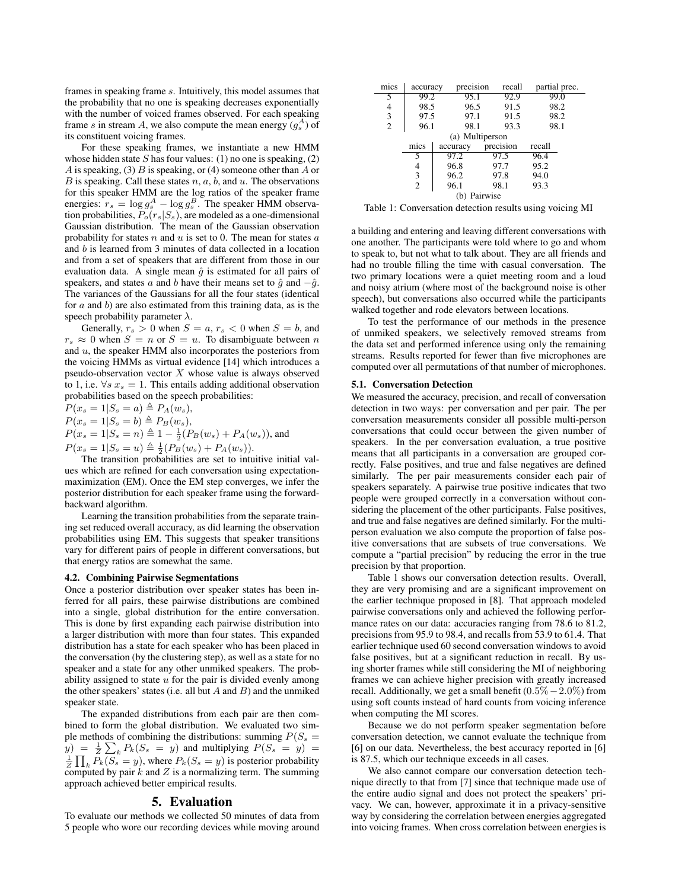frames in speaking frame s. Intuitively, this model assumes that the probability that no one is speaking decreases exponentially with the number of voiced frames observed. For each speaking frame s in stream A, we also compute the mean energy  $(g_s^A)$  of its constituent voicing frames.

For these speaking frames, we instantiate a new HMM whose hidden state  $S$  has four values: (1) no one is speaking, (2) A is speaking, (3) B is speaking, or (4) someone other than A or B is speaking. Call these states  $n, a, b$ , and  $u$ . The observations for this speaker HMM are the log ratios of the speaker frame energies:  $r_s = \log g_s^A - \log g_s^B$ . The speaker HMM observation probabilities,  $P_o(r_s|S_s)$ , are modeled as a one-dimensional Gaussian distribution. The mean of the Gaussian observation probability for states  $n$  and  $u$  is set to 0. The mean for states  $a$ and b is learned from 3 minutes of data collected in a location and from a set of speakers that are different from those in our evaluation data. A single mean  $\hat{g}$  is estimated for all pairs of speakers, and states a and b have their means set to  $\hat{g}$  and  $-\hat{g}$ . The variances of the Gaussians for all the four states (identical for  $a$  and  $b$ ) are also estimated from this training data, as is the speech probability parameter  $\lambda$ .

Generally,  $r_s > 0$  when  $S = a, r_s < 0$  when  $S = b$ , and  $r_s \approx 0$  when  $S = n$  or  $S = u$ . To disambiguate between n and  $u$ , the speaker HMM also incorporates the posteriors from the voicing HMMs as virtual evidence [14] which introduces a pseudo-observation vector  $X$  whose value is always observed to 1, i.e.  $\forall s \ x_s = 1$ . This entails adding additional observation probabilities based on the speech probabilities:

 $P(x_s = 1|S_s = a) \triangleq P_A(w_s),$ 

 $P(x_s = 1|S_s = b) \triangleq P_B(w_s),$ 

 $P(x_s = 1|S_s = n) \triangleq 1 - \frac{1}{2}(P_B(w_s) + P_A(w_s))$ , and  $P(x_s = 1|S_s = u) \triangleq \frac{1}{2}(P_B(w_s) + P_A(w_s)).$ 

The transition probabilities are set to intuitive initial values which are refined for each conversation using expectationmaximization (EM). Once the EM step converges, we infer the posterior distribution for each speaker frame using the forwardbackward algorithm.

Learning the transition probabilities from the separate training set reduced overall accuracy, as did learning the observation probabilities using EM. This suggests that speaker transitions vary for different pairs of people in different conversations, but that energy ratios are somewhat the same.

#### 4.2. Combining Pairwise Segmentations

Once a posterior distribution over speaker states has been inferred for all pairs, these pairwise distributions are combined into a single, global distribution for the entire conversation. This is done by first expanding each pairwise distribution into a larger distribution with more than four states. This expanded distribution has a state for each speaker who has been placed in the conversation (by the clustering step), as well as a state for no speaker and a state for any other unmiked speakers. The probability assigned to state  $u$  for the pair is divided evenly among the other speakers' states (i.e. all but  $A$  and  $B$ ) and the unmiked speaker state.

The expanded distributions from each pair are then combined to form the global distribution. We evaluated two simple methods of combining the distributions: summing  $P(S_s =$  $(y) = \frac{1}{Z} \sum_{k} P_{k}(S_{s} = y)$  and multiplying  $P(S_{s} = y) =$  $\frac{1}{Z} \prod_k P_k(S_s = y)$ , where  $P_k(S_s = y)$  is posterior probability computed by pair  $k$  and  $Z$  is a normalizing term. The summing approach achieved better empirical results.

# 5. Evaluation

To evaluate our methods we collected 50 minutes of data from 5 people who wore our recording devices while moving around

| mics            | accuracy       | precision | recall    | partial prec. |  |  |  |  |
|-----------------|----------------|-----------|-----------|---------------|--|--|--|--|
| 5               | 99.2           | 95.1      | 92.9      | 99.0          |  |  |  |  |
| 4               | 98.5           | 96.5      | 91.5      | 98.2          |  |  |  |  |
| 3               | 97.5           | 97.1      | 91.5      | 98.2          |  |  |  |  |
| $\overline{2}$  | 96.1           | 98.1      | 93.3      | 98.1          |  |  |  |  |
| (a) Multiperson |                |           |           |               |  |  |  |  |
|                 | mics           | accuracy  | precision | recall        |  |  |  |  |
|                 | 5              | 97.2      | 97.5      | 96.4          |  |  |  |  |
|                 | 4              | 96.8      | 97.7      | 95.2          |  |  |  |  |
|                 | 3              | 96.2      | 97.8      | 94.0          |  |  |  |  |
|                 | $\overline{2}$ | 96.1      | 98.1      | 93.3          |  |  |  |  |
| Pairwise<br>(b) |                |           |           |               |  |  |  |  |

Table 1: Conversation detection results using voicing MI

a building and entering and leaving different conversations with one another. The participants were told where to go and whom to speak to, but not what to talk about. They are all friends and had no trouble filling the time with casual conversation. The two primary locations were a quiet meeting room and a loud and noisy atrium (where most of the background noise is other speech), but conversations also occurred while the participants walked together and rode elevators between locations.

To test the performance of our methods in the presence of unmiked speakers, we selectively removed streams from the data set and performed inference using only the remaining streams. Results reported for fewer than five microphones are computed over all permutations of that number of microphones.

#### 5.1. Conversation Detection

We measured the accuracy, precision, and recall of conversation detection in two ways: per conversation and per pair. The per conversation measurements consider all possible multi-person conversations that could occur between the given number of speakers. In the per conversation evaluation, a true positive means that all participants in a conversation are grouped correctly. False positives, and true and false negatives are defined similarly. The per pair measurements consider each pair of speakers separately. A pairwise true positive indicates that two people were grouped correctly in a conversation without considering the placement of the other participants. False positives, and true and false negatives are defined similarly. For the multiperson evaluation we also compute the proportion of false positive conversations that are subsets of true conversations. We compute a "partial precision" by reducing the error in the true precision by that proportion.

Table 1 shows our conversation detection results. Overall, they are very promising and are a significant improvement on the earlier technique proposed in [8]. That approach modeled pairwise conversations only and achieved the following performance rates on our data: accuracies ranging from 78.6 to 81.2, precisions from 95.9 to 98.4, and recalls from 53.9 to 61.4. That earlier technique used 60 second conversation windows to avoid false positives, but at a significant reduction in recall. By using shorter frames while still considering the MI of neighboring frames we can achieve higher precision with greatly increased recall. Additionally, we get a small benefit  $(0.5\% - 2.0\%)$  from using soft counts instead of hard counts from voicing inference when computing the MI scores.

Because we do not perform speaker segmentation before conversation detection, we cannot evaluate the technique from [6] on our data. Nevertheless, the best accuracy reported in [6] is 87.5, which our technique exceeds in all cases.

We also cannot compare our conversation detection technique directly to that from [7] since that technique made use of the entire audio signal and does not protect the speakers' privacy. We can, however, approximate it in a privacy-sensitive way by considering the correlation between energies aggregated into voicing frames. When cross correlation between energies is